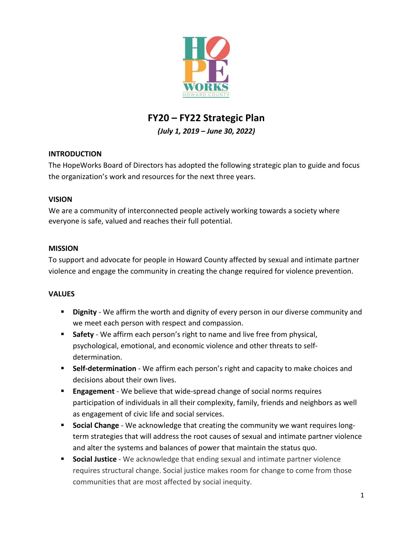

# **FY20 – FY22 Strategic Plan**

*(July 1, 2019 – June 30, 2022)*

# **INTRODUCTION**

The HopeWorks Board of Directors has adopted the following strategic plan to guide and focus the organization's work and resources for the next three years.

# **VISION**

We are a community of interconnected people actively working towards a society where everyone is safe, valued and reaches their full potential.

# **MISSION**

To support and advocate for people in Howard County affected by sexual and intimate partner violence and engage the community in creating the change required for violence prevention.

# **VALUES**

- **Dignity** We affirm the worth and dignity of every person in our diverse community and we meet each person with respect and compassion.
- **Safety** We affirm each person's right to name and live free from physical, psychological, emotional, and economic violence and other threats to selfdetermination.
- **Self-determination** We affirm each person's right and capacity to make choices and decisions about their own lives.
- **Engagement** We believe that wide-spread change of social norms requires participation of individuals in all their complexity, family, friends and neighbors as well as engagement of civic life and social services.
- **Social Change** We acknowledge that creating the community we want requires longterm strategies that will address the root causes of sexual and intimate partner violence and alter the systems and balances of power that maintain the status quo.
- **Social Justice** We acknowledge that ending sexual and intimate partner violence requires structural change. Social justice makes room for change to come from those communities that are most affected by social inequity.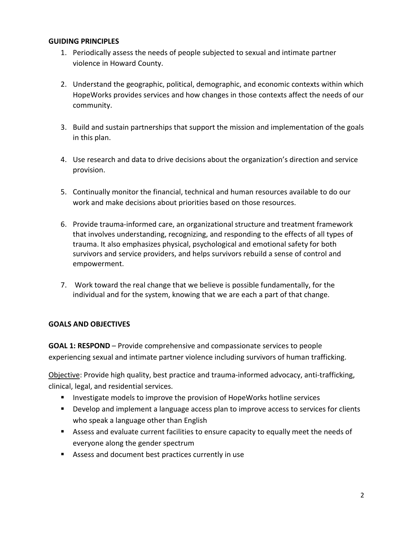#### **GUIDING PRINCIPLES**

- 1. Periodically assess the needs of people subjected to sexual and intimate partner violence in Howard County.
- 2. Understand the geographic, political, demographic, and economic contexts within which HopeWorks provides services and how changes in those contexts affect the needs of our community.
- 3. Build and sustain partnerships that support the mission and implementation of the goals in this plan.
- 4. Use research and data to drive decisions about the organization's direction and service provision.
- 5. Continually monitor the financial, technical and human resources available to do our work and make decisions about priorities based on those resources.
- 6. Provide trauma-informed care, an organizational structure and treatment framework that involves understanding, recognizing, and responding to the effects of all types of trauma. It also emphasizes physical, psychological and emotional safety for both survivors and service providers, and helps survivors rebuild a sense of control and empowerment.
- 7. Work toward the real change that we believe is possible fundamentally, for the individual and for the system, knowing that we are each a part of that change.

# **GOALS AND OBJECTIVES**

**GOAL 1: RESPOND** – Provide comprehensive and compassionate services to people experiencing sexual and intimate partner violence including survivors of human trafficking.

Objective: Provide high quality, best practice and trauma-informed advocacy, anti-trafficking, clinical, legal, and residential services.

- **Investigate models to improve the provision of HopeWorks hotline services**
- **•** Develop and implement a language access plan to improve access to services for clients who speak a language other than English
- Assess and evaluate current facilities to ensure capacity to equally meet the needs of everyone along the gender spectrum
- Assess and document best practices currently in use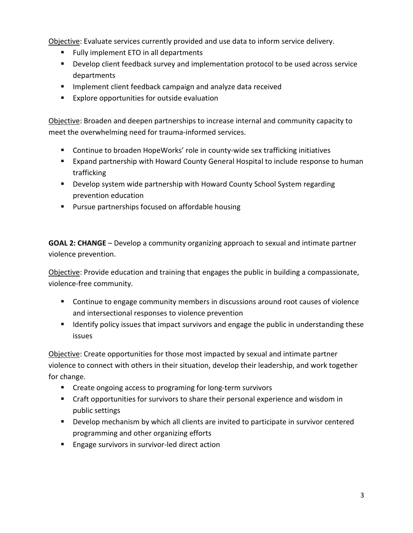Objective: Evaluate services currently provided and use data to inform service delivery.

- **Fully implement ETO in all departments**
- Develop client feedback survey and implementation protocol to be used across service departments
- **IMPLEMENTED IMM** Implement client feedback campaign and analyze data received
- **EXPLORE OPPORTUNITIES FOR OUTSIDE EVALUATION**

Objective: Broaden and deepen partnerships to increase internal and community capacity to meet the overwhelming need for trauma-informed services.

- Continue to broaden HopeWorks' role in county-wide sex trafficking initiatives
- Expand partnership with Howard County General Hospital to include response to human trafficking
- **Develop system wide partnership with Howard County School System regarding** prevention education
- **Pursue partnerships focused on affordable housing**

**GOAL 2: CHANGE** – Develop a community organizing approach to sexual and intimate partner violence prevention.

Objective: Provide education and training that engages the public in building a compassionate, violence-free community.

- Continue to engage community members in discussions around root causes of violence and intersectional responses to violence prevention
- **If I**dentify policy issues that impact survivors and engage the public in understanding these issues

Objective: Create opportunities for those most impacted by sexual and intimate partner violence to connect with others in their situation, develop their leadership, and work together for change.

- **EXP** Create ongoing access to programing for long-term survivors
- Craft opportunities for survivors to share their personal experience and wisdom in public settings
- **Develop mechanism by which all clients are invited to participate in survivor centered** programming and other organizing efforts
- **Engage survivors in survivor-led direct action**